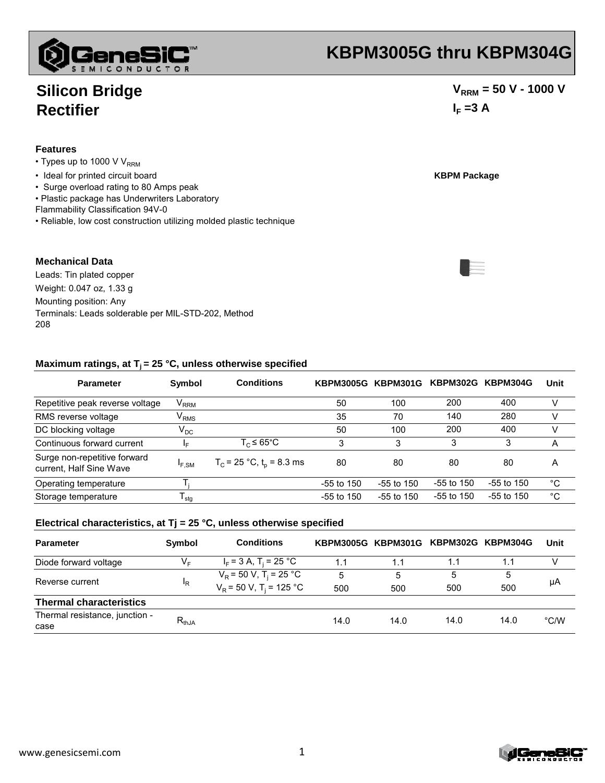#### www.genesicsemi.com 1

# **KBPM3005G thru KBPM304G**

### **Silicon Bridge Rectifier**

#### **Features**

- $\cdot$  Types up to 1000 V V<sub>RRM</sub>
- Ideal for printed circuit board **KBPM Package**
- Surge overload rating to 80 Amps peak
- Plastic package has Underwriters Laboratory
- Flammability Classification 94V-0
- Reliable, low cost construction utilizing molded plastic technique

#### **Mechanical Data**

Leads: Tin plated copper Weight: 0.047 oz, 1.33 g Mounting position: Any Terminals: Leads solderable per MIL-STD-202, Method 208

#### **Maximum ratings, at Tj = 25 °C, unless otherwise specified Maximum ratings, at C, unless otherwise**

| <b>Parameter</b>                                        | Symbol                      | <b>Conditions</b>             | <b>KBPM3005G KBPM301G</b> |              | <b>KBPM302G</b> | KBPM304G     | Unit |
|---------------------------------------------------------|-----------------------------|-------------------------------|---------------------------|--------------|-----------------|--------------|------|
| Repetitive peak reverse voltage                         | $\mathsf{V}_{\mathsf{RRM}}$ |                               | 50                        | 100          | 200             | 400          | v    |
| RMS reverse voltage                                     | V <sub>RMS</sub>            |                               | 35                        | 70           | 140             | 280          |      |
| DC blocking voltage                                     | $\mathsf{V}_\mathsf{DC}$    |                               | 50                        | 100          | 200             | 400          |      |
| Continuous forward current                              | l⊑.                         | $T_c \leq 65^{\circ}$ C       | 3                         | 3            | 3               | 3            | Α    |
| Surge non-repetitive forward<br>current, Half Sine Wave | $I_{F,SM}$                  | $T_c$ = 25 °C, $t_o$ = 8.3 ms | 80                        | 80           | 80              | 80           | A    |
| Operating temperature                                   |                             |                               | $-55$ to 150              | $-55$ to 150 | $-55$ to 150    | $-55$ to 150 | °C   |
| Storage temperature                                     | <sup>I</sup> stq            |                               | $-55$ to 150              | $-55$ to 150 | $-55$ to 150    | $-55$ to 150 | °C   |

#### **Electrical characteristics, at Tj = 25 °C, unless otherwise specified**

| <b>Parameter</b>                       | Symbol     | <b>Conditions</b>                     | KBPM3005G KBPM301G KBPM302G KBPM304G |      |      |      | Unit          |
|----------------------------------------|------------|---------------------------------------|--------------------------------------|------|------|------|---------------|
| Diode forward voltage                  | V⊧         | $I_F$ = 3 A, T <sub>i</sub> = 25 °C   | 1.1                                  | 1.1  | 1.1  | 1.1  |               |
| Reverse current                        | ΙR         | $V_R$ = 50 V, T <sub>i</sub> = 25 °C  | 5                                    | 5    | 5    | 5    | μA            |
|                                        |            | $V_R$ = 50 V, T <sub>i</sub> = 125 °C | 500                                  | 500  | 500  | 500  |               |
| <b>Thermal characteristics</b>         |            |                                       |                                      |      |      |      |               |
| Thermal resistance, junction -<br>case | $R_{thJA}$ |                                       | 14.0                                 | 14.0 | 14.0 | 14.0 | $\degree$ C/W |

E





### $V_{RRM}$  = 50 V - 1000 V  $I_F = 3 A$